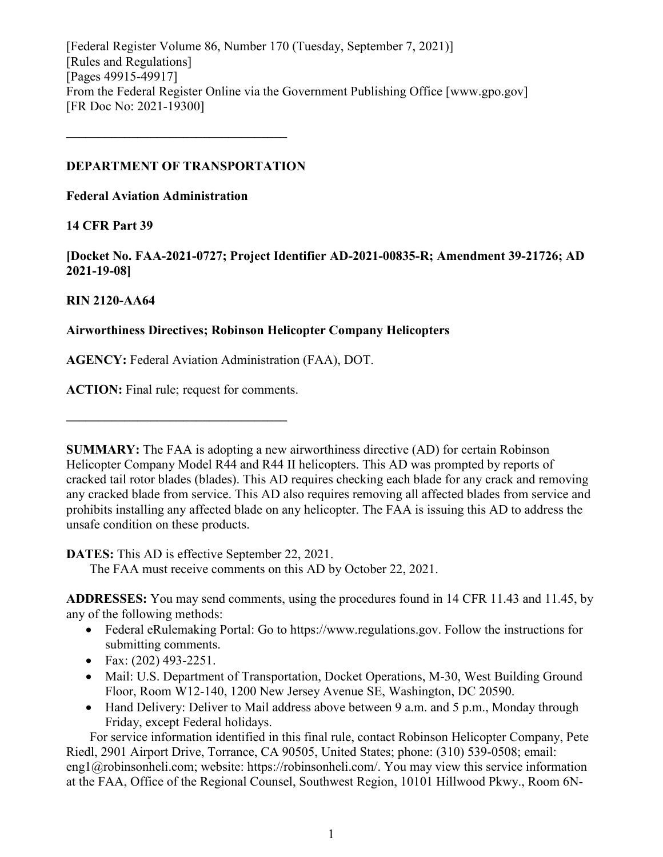[Federal Register Volume 86, Number 170 (Tuesday, September 7, 2021)] [Rules and Regulations] [Pages 49915-49917] From the Federal Register Online via the Government Publishing Office [www.gpo.gov] [FR Doc No: 2021-19300]

## **DEPARTMENT OF TRANSPORTATION**

**––––––––––––––––––––––––––––––––––**

**Federal Aviation Administration**

# **14 CFR Part 39**

**[Docket No. FAA-2021-0727; Project Identifier AD-2021-00835-R; Amendment 39-21726; AD 2021-19-08]**

# **RIN 2120-AA64**

# **Airworthiness Directives; Robinson Helicopter Company Helicopters**

**AGENCY:** Federal Aviation Administration (FAA), DOT.

**ACTION:** Final rule; request for comments.

**––––––––––––––––––––––––––––––––––**

**SUMMARY:** The FAA is adopting a new airworthiness directive (AD) for certain Robinson Helicopter Company Model R44 and R44 II helicopters. This AD was prompted by reports of cracked tail rotor blades (blades). This AD requires checking each blade for any crack and removing any cracked blade from service. This AD also requires removing all affected blades from service and prohibits installing any affected blade on any helicopter. The FAA is issuing this AD to address the unsafe condition on these products.

**DATES:** This AD is effective September 22, 2021.

The FAA must receive comments on this AD by October 22, 2021.

**ADDRESSES:** You may send comments, using the procedures found in 14 CFR 11.43 and 11.45, by any of the following methods:

- Federal eRulemaking Portal: Go to https://www.regulations.gov. Follow the instructions for submitting comments.
- Fax: (202) 493-2251.
- Mail: U.S. Department of Transportation, Docket Operations, M-30, West Building Ground Floor, Room W12-140, 1200 New Jersey Avenue SE, Washington, DC 20590.
- Hand Delivery: Deliver to Mail address above between 9 a.m. and 5 p.m., Monday through Friday, except Federal holidays.

For service information identified in this final rule, contact Robinson Helicopter Company, Pete Riedl, 2901 Airport Drive, Torrance, CA 90505, United States; phone: (310) 539-0508; email: eng1@robinsonheli.com; website: https://robinsonheli.com/. You may view this service information at the FAA, Office of the Regional Counsel, Southwest Region, 10101 Hillwood Pkwy., Room 6N-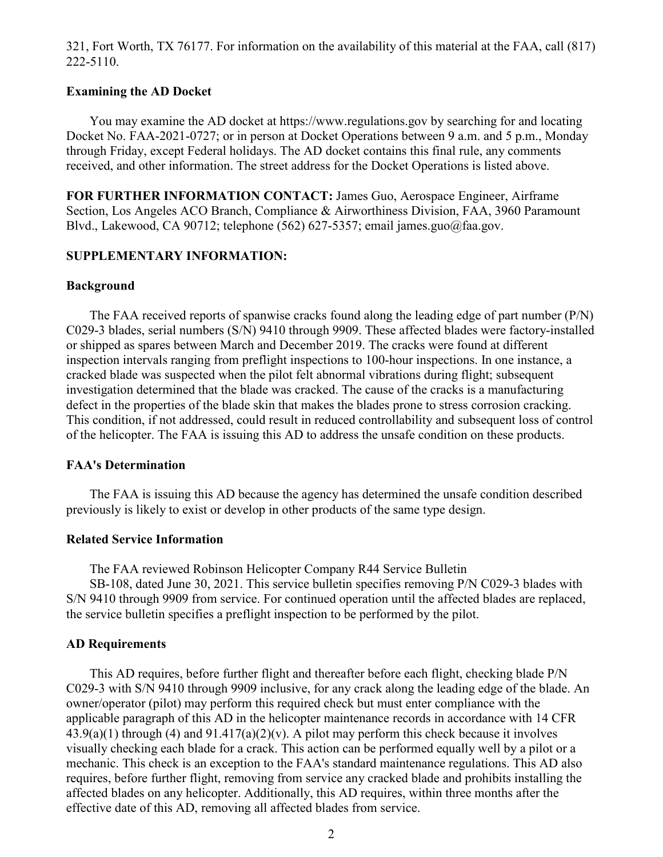321, Fort Worth, TX 76177. For information on the availability of this material at the FAA, call (817) 222-5110.

## **Examining the AD Docket**

You may examine the AD docket at https://www.regulations.gov by searching for and locating Docket No. FAA-2021-0727; or in person at Docket Operations between 9 a.m. and 5 p.m., Monday through Friday, except Federal holidays. The AD docket contains this final rule, any comments received, and other information. The street address for the Docket Operations is listed above.

**FOR FURTHER INFORMATION CONTACT:** James Guo, Aerospace Engineer, Airframe Section, Los Angeles ACO Branch, Compliance & Airworthiness Division, FAA, 3960 Paramount Blvd., Lakewood, CA 90712; telephone (562) 627-5357; email james.guo@faa.gov.

## **SUPPLEMENTARY INFORMATION:**

## **Background**

The FAA received reports of spanwise cracks found along the leading edge of part number (P/N) C029-3 blades, serial numbers (S/N) 9410 through 9909. These affected blades were factory-installed or shipped as spares between March and December 2019. The cracks were found at different inspection intervals ranging from preflight inspections to 100-hour inspections. In one instance, a cracked blade was suspected when the pilot felt abnormal vibrations during flight; subsequent investigation determined that the blade was cracked. The cause of the cracks is a manufacturing defect in the properties of the blade skin that makes the blades prone to stress corrosion cracking. This condition, if not addressed, could result in reduced controllability and subsequent loss of control of the helicopter. The FAA is issuing this AD to address the unsafe condition on these products.

## **FAA's Determination**

The FAA is issuing this AD because the agency has determined the unsafe condition described previously is likely to exist or develop in other products of the same type design.

## **Related Service Information**

The FAA reviewed Robinson Helicopter Company R44 Service Bulletin

SB-108, dated June 30, 2021. This service bulletin specifies removing P/N C029-3 blades with S/N 9410 through 9909 from service. For continued operation until the affected blades are replaced, the service bulletin specifies a preflight inspection to be performed by the pilot.

#### **AD Requirements**

This AD requires, before further flight and thereafter before each flight, checking blade P/N C029-3 with S/N 9410 through 9909 inclusive, for any crack along the leading edge of the blade. An owner/operator (pilot) may perform this required check but must enter compliance with the applicable paragraph of this AD in the helicopter maintenance records in accordance with 14 CFR  $43.9(a)(1)$  through (4) and  $91.417(a)(2)(v)$ . A pilot may perform this check because it involves visually checking each blade for a crack. This action can be performed equally well by a pilot or a mechanic. This check is an exception to the FAA's standard maintenance regulations. This AD also requires, before further flight, removing from service any cracked blade and prohibits installing the affected blades on any helicopter. Additionally, this AD requires, within three months after the effective date of this AD, removing all affected blades from service.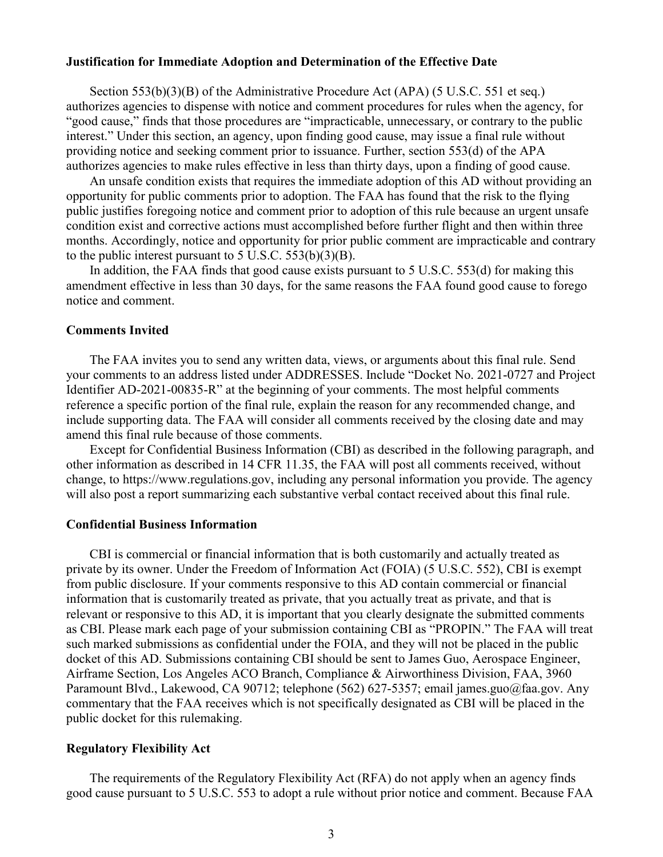#### **Justification for Immediate Adoption and Determination of the Effective Date**

Section 553(b)(3)(B) of the Administrative Procedure Act (APA) (5 U.S.C. 551 et seq.) authorizes agencies to dispense with notice and comment procedures for rules when the agency, for "good cause," finds that those procedures are "impracticable, unnecessary, or contrary to the public interest." Under this section, an agency, upon finding good cause, may issue a final rule without providing notice and seeking comment prior to issuance. Further, section 553(d) of the APA authorizes agencies to make rules effective in less than thirty days, upon a finding of good cause.

An unsafe condition exists that requires the immediate adoption of this AD without providing an opportunity for public comments prior to adoption. The FAA has found that the risk to the flying public justifies foregoing notice and comment prior to adoption of this rule because an urgent unsafe condition exist and corrective actions must accomplished before further flight and then within three months. Accordingly, notice and opportunity for prior public comment are impracticable and contrary to the public interest pursuant to  $5$  U.S.C.  $553(b)(3)(B)$ .

In addition, the FAA finds that good cause exists pursuant to 5 U.S.C. 553(d) for making this amendment effective in less than 30 days, for the same reasons the FAA found good cause to forego notice and comment.

### **Comments Invited**

The FAA invites you to send any written data, views, or arguments about this final rule. Send your comments to an address listed under ADDRESSES. Include "Docket No. 2021-0727 and Project Identifier AD-2021-00835-R" at the beginning of your comments. The most helpful comments reference a specific portion of the final rule, explain the reason for any recommended change, and include supporting data. The FAA will consider all comments received by the closing date and may amend this final rule because of those comments.

Except for Confidential Business Information (CBI) as described in the following paragraph, and other information as described in 14 CFR 11.35, the FAA will post all comments received, without change, to https://www.regulations.gov, including any personal information you provide. The agency will also post a report summarizing each substantive verbal contact received about this final rule.

#### **Confidential Business Information**

CBI is commercial or financial information that is both customarily and actually treated as private by its owner. Under the Freedom of Information Act (FOIA) (5 U.S.C. 552), CBI is exempt from public disclosure. If your comments responsive to this AD contain commercial or financial information that is customarily treated as private, that you actually treat as private, and that is relevant or responsive to this AD, it is important that you clearly designate the submitted comments as CBI. Please mark each page of your submission containing CBI as "PROPIN." The FAA will treat such marked submissions as confidential under the FOIA, and they will not be placed in the public docket of this AD. Submissions containing CBI should be sent to James Guo, Aerospace Engineer, Airframe Section, Los Angeles ACO Branch, Compliance & Airworthiness Division, FAA, 3960 Paramount Blvd., Lakewood, CA 90712; telephone (562) 627-5357; email james.guo@faa.gov. Any commentary that the FAA receives which is not specifically designated as CBI will be placed in the public docket for this rulemaking.

## **Regulatory Flexibility Act**

The requirements of the Regulatory Flexibility Act (RFA) do not apply when an agency finds good cause pursuant to 5 U.S.C. 553 to adopt a rule without prior notice and comment. Because FAA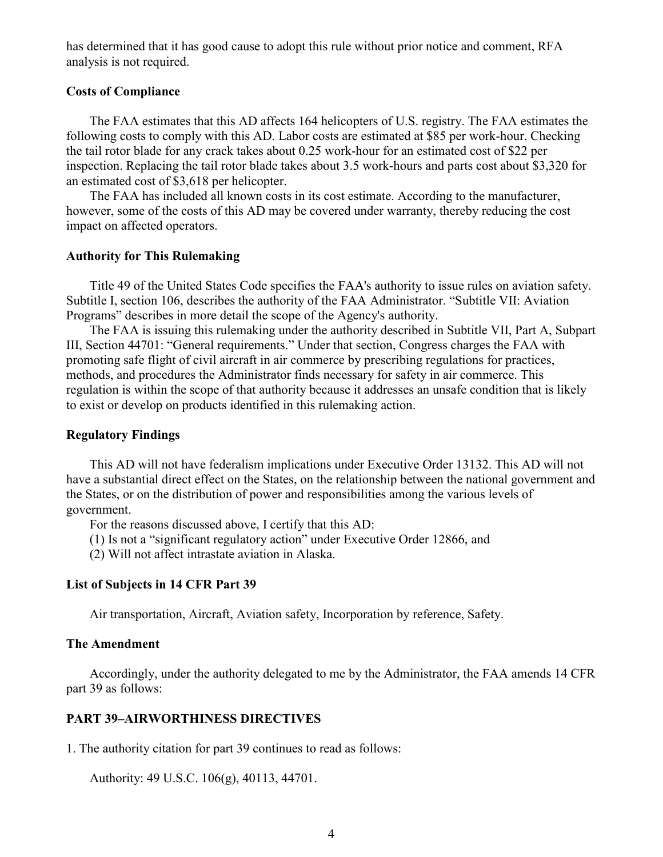has determined that it has good cause to adopt this rule without prior notice and comment, RFA analysis is not required.

## **Costs of Compliance**

The FAA estimates that this AD affects 164 helicopters of U.S. registry. The FAA estimates the following costs to comply with this AD. Labor costs are estimated at \$85 per work-hour. Checking the tail rotor blade for any crack takes about 0.25 work-hour for an estimated cost of \$22 per inspection. Replacing the tail rotor blade takes about 3.5 work-hours and parts cost about \$3,320 for an estimated cost of \$3,618 per helicopter.

The FAA has included all known costs in its cost estimate. According to the manufacturer, however, some of the costs of this AD may be covered under warranty, thereby reducing the cost impact on affected operators.

## **Authority for This Rulemaking**

Title 49 of the United States Code specifies the FAA's authority to issue rules on aviation safety. Subtitle I, section 106, describes the authority of the FAA Administrator. "Subtitle VII: Aviation Programs" describes in more detail the scope of the Agency's authority.

The FAA is issuing this rulemaking under the authority described in Subtitle VII, Part A, Subpart III, Section 44701: "General requirements." Under that section, Congress charges the FAA with promoting safe flight of civil aircraft in air commerce by prescribing regulations for practices, methods, and procedures the Administrator finds necessary for safety in air commerce. This regulation is within the scope of that authority because it addresses an unsafe condition that is likely to exist or develop on products identified in this rulemaking action.

#### **Regulatory Findings**

This AD will not have federalism implications under Executive Order 13132. This AD will not have a substantial direct effect on the States, on the relationship between the national government and the States, or on the distribution of power and responsibilities among the various levels of government.

For the reasons discussed above, I certify that this AD:

- (1) Is not a "significant regulatory action" under Executive Order 12866, and
- (2) Will not affect intrastate aviation in Alaska.

#### **List of Subjects in 14 CFR Part 39**

Air transportation, Aircraft, Aviation safety, Incorporation by reference, Safety.

## **The Amendment**

Accordingly, under the authority delegated to me by the Administrator, the FAA amends 14 CFR part 39 as follows:

## **PART 39–AIRWORTHINESS DIRECTIVES**

1. The authority citation for part 39 continues to read as follows:

Authority: 49 U.S.C. 106(g), 40113, 44701.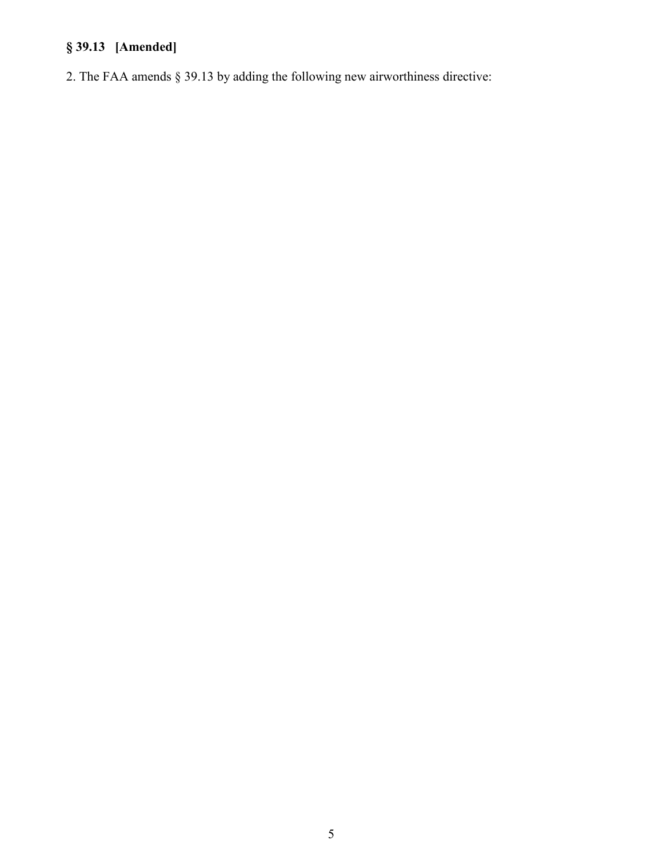# **§ 39.13 [Amended]**

2. The FAA amends § 39.13 by adding the following new airworthiness directive: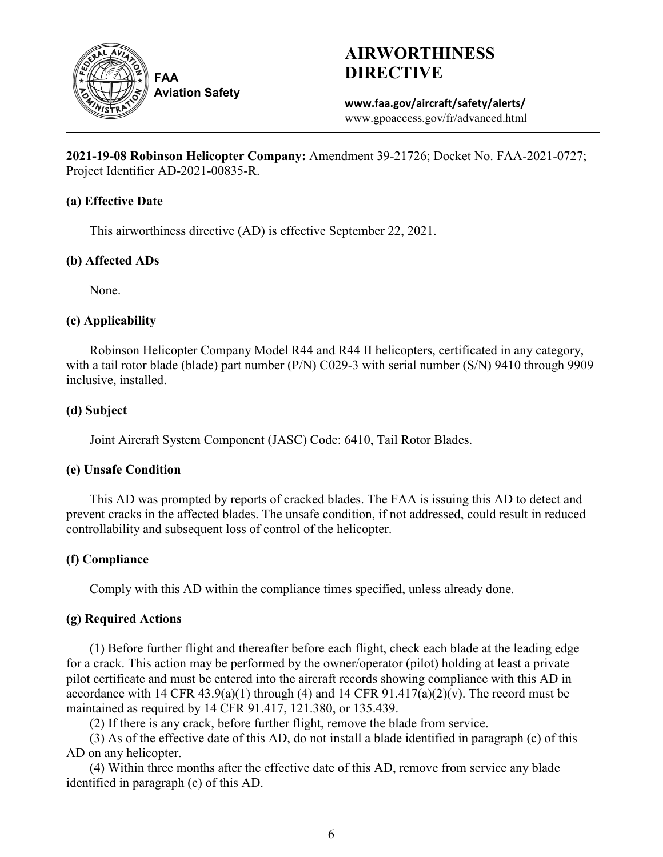

**FAA Aviation Safety**

# **AIRWORTHINESS DIRECTIVE**

**www.faa.gov/aircraft/safety/alerts/** www.gpoaccess.gov/fr/advanced.html

**2021-19-08 Robinson Helicopter Company:** Amendment 39-21726; Docket No. FAA-2021-0727; Project Identifier AD-2021-00835-R.

## **(a) Effective Date**

This airworthiness directive (AD) is effective September 22, 2021.

## **(b) Affected ADs**

None.

# **(c) Applicability**

Robinson Helicopter Company Model R44 and R44 II helicopters, certificated in any category, with a tail rotor blade (blade) part number (P/N) C029-3 with serial number (S/N) 9410 through 9909 inclusive, installed.

# **(d) Subject**

Joint Aircraft System Component (JASC) Code: 6410, Tail Rotor Blades.

# **(e) Unsafe Condition**

This AD was prompted by reports of cracked blades. The FAA is issuing this AD to detect and prevent cracks in the affected blades. The unsafe condition, if not addressed, could result in reduced controllability and subsequent loss of control of the helicopter.

# **(f) Compliance**

Comply with this AD within the compliance times specified, unless already done.

## **(g) Required Actions**

(1) Before further flight and thereafter before each flight, check each blade at the leading edge for a crack. This action may be performed by the owner/operator (pilot) holding at least a private pilot certificate and must be entered into the aircraft records showing compliance with this AD in accordance with 14 CFR 43.9(a)(1) through (4) and 14 CFR 91.417(a)(2)(v). The record must be maintained as required by 14 CFR 91.417, 121.380, or 135.439.

(2) If there is any crack, before further flight, remove the blade from service.

(3) As of the effective date of this AD, do not install a blade identified in paragraph (c) of this AD on any helicopter.

(4) Within three months after the effective date of this AD, remove from service any blade identified in paragraph (c) of this AD.